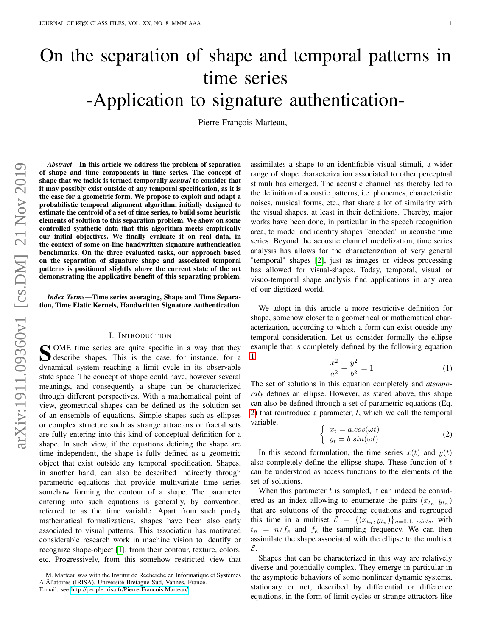# On the separation of shape and temporal patterns in time series -Application to signature authentication-

Pierre-François Marteau,

*Abstract*—In this article we address the problem of separation of shape and time components in time series. The concept of shape that we tackle is termed temporally *neutral* to consider that it may possibly exist outside of any temporal specification, as it is the case for a geometric form. We propose to exploit and adapt a probabilistic temporal alignment algorithm, initially designed to estimate the centroid of a set of time series, to build some heuristic elements of solution to this separation problem. We show on some controlled synthetic data that this algorithm meets empirically our initial objectives. We finally evaluate it on real data, in the context of some on-line handwritten signature authentication benchmarks. On the three evaluated tasks, our approach based on the separation of signature shape and associated temporal patterns is positioned slightly above the current state of the art demonstrating the applicative benefit of this separating problem.

*Index Terms*—Time series averaging, Shape and Time Separation, Time Elatic Kernels, Handwritten Signature Authentication.

## I. INTRODUCTION

SOME time series are quite specific in a way that they describe shapes. This is the case, for instance, for a describe shapes. This is the case, for instance, for a dynamical system reaching a limit cycle in its observable state space. The concept of shape could have, however several meanings, and consequently a shape can be characterized through different perspectives. With a mathematical point of view, geometrical shapes can be defined as the solution set of an ensemble of equations. Simple shapes such as ellipses or complex structure such as strange attractors or fractal sets are fully entering into this kind of conceptual definition for a shape. In such view, if the equations defining the shape are time independent, the shape is fully defined as a geometric object that exist outside any temporal specification. Shapes, in another hand, can also be described indirectly through parametric equations that provide multivariate time series somehow forming the contour of a shape. The parameter entering into such equations is generally, by convention, referred to as the time variable. Apart from such purely mathematical formalizations, shapes have been also early associated to visual patterns. This association has motivated considerable research work in machine vision to identify or recognize shape-object [\[1\]](#page-6-0), from their contour, texture, colors, etc. Progressively, from this somehow restricted view that assimilates a shape to an identifiable visual stimuli, a wider range of shape characterization associated to other perceptual stimuli has emerged. The acoustic channel has thereby led to the definition of acoustic patterns, i.e. phonemes, characteristic noises, musical forms, etc., that share a lot of similarity with the visual shapes, at least in their definitions. Thereby, major works have been done, in particular in the speech recognition area, to model and identify shapes "encoded" in acoustic time series. Beyond the acoustic channel modelization, time series analysis has allows for the characterization of very general "temporal" shapes [\[2\]](#page-6-1), just as images or videos processing has allowed for visual-shapes. Today, temporal, visual or visuo-temporal shape analysis find applications in any area of our digitized world.

We adopt in this article a more restrictive definition for shape, somehow closer to a geometrical or mathematical characterization, according to which a form can exist outside any temporal consideration. Let us consider formally the ellipse example that is completely defined by the following equation [1.](#page-0-0)

<span id="page-0-0"></span>
$$
\frac{x^2}{a^2} + \frac{y^2}{b^2} = 1\tag{1}
$$

The set of solutions in this equation completely and *atemporaly* defines an ellipse. However, as stated above, this shape can also be defined through a set of parametric equations (Eq. [2\)](#page-0-1) that reintroduce a parameter,  $t$ , which we call the temporal variable.

<span id="page-0-1"></span>
$$
\begin{cases}\n x_t = a \cdot cos(\omega t) \\
y_t = b \cdot sin(\omega t)\n\end{cases}
$$
\n(2)

In this second formulation, the time series  $x(t)$  and  $y(t)$ also completely define the ellipse shape. These function of  $t$ can be understood as access functions to the elements of the set of solutions.

When this parameter  $t$  is sampled, it can indeed be considered as an index allowing to enumerate the pairs  $(x_{t_n}, y_{t_n})$ that are solutions of the preceding equations and regrouped this time in a multiset  $\mathcal{E} = \{(x_{t_n}, y_{t_n})\}_{n=0,1, \text{ colors}},$  with  $t_n = n/f_e$  and  $f_e$  the sampling frequency. We can then assimilate the shape associated with the ellipse to the multiset E.

Shapes that can be characterized in this way are relatively diverse and potentially complex. They emerge in particular in the asymptotic behaviors of some nonlinear dynamic systems, stationary or not, described by differential or difference equations, in the form of limit cycles or strange attractors like

M. Marteau was with the Institut de Recherche en Informatique et Systèmes AlÃl'atoires (IRISA), Université Bretagne Sud, Vannes, France. E-mail: see<http://people.irisa.fr/Pierre-Francois.Marteau/>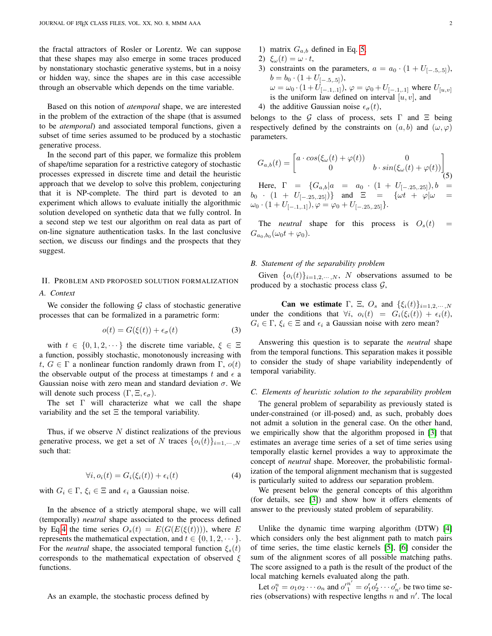the fractal attractors of Rosler or Lorentz. We can suppose that these shapes may also emerge in some traces produced by nonstationary stochastic generative systems, but in a noisy or hidden way, since the shapes are in this case accessible through an observable which depends on the time variable.

Based on this notion of *atemporal* shape, we are interested in the problem of the extraction of the shape (that is assumed to be *atemporal*) and associated temporal functions, given a subset of time series assumed to be produced by a stochastic generative process.

In the second part of this paper, we formalize this problem of shape/time separation for a restrictive category of stochastic processes expressed in discrete time and detail the heuristic approach that we develop to solve this problem, conjecturing that it is NP-complete. The third part is devoted to an experiment which allows to evaluate initially the algorithmic solution developed on synthetic data that we fully control. In a second step we test our algorithm on real data as part of on-line signature authentication tasks. In the last conclusive section, we discuss our findings and the prospects that they suggest.

## <span id="page-1-2"></span>II. PROBLEM AND PROPOSED SOLUTION FORMALIZATION *A. Context*

We consider the following  $G$  class of stochastic generative processes that can be formalized in a parametric form:

$$
o(t) = G(\xi(t)) + \epsilon_{\sigma}(t) \tag{3}
$$

with  $t \in \{0, 1, 2, \dots\}$  the discrete time variable,  $\xi \in \Xi$ a function, possibly stochastic, monotonously increasing with t,  $G \in \Gamma$  a nonlinear function randomly drawn from  $\Gamma$ ,  $o(t)$ the observable output of the process at timestamps t and  $\epsilon$  a Gaussian noise with zero mean and standard deviation  $\sigma$ . We will denote such process  $(\Gamma, \Xi, \epsilon_{\sigma})$ .

The set Γ will characterize what we call the shape variability and the set  $\Xi$  the temporal variability.

Thus, if we observe  $N$  distinct realizations of the previous generative process, we get a set of N traces  $\{o_i(t)\}_{i=1,\dots,N}$ such that:

<span id="page-1-0"></span>
$$
\forall i, o_i(t) = G_i(\xi_i(t)) + \epsilon_i(t) \tag{4}
$$

with  $G_i \in \Gamma$ ,  $\xi_i \in \Xi$  and  $\epsilon_i$  a Gaussian noise.

In the absence of a strictly atemporal shape, we will call (temporally) *neutral* shape associated to the process defined by Eq[.4](#page-1-0) the time series  $O_s(t) = E(G(E(\xi(t))))$ , where E represents the mathematical expectation, and  $t \in \{0, 1, 2, \dots\}$ . For the *neutral* shape, the associated temporal function  $\xi_s(t)$ corresponds to the mathematical expectation of observed  $\xi$ functions.

- 1) matrix  $G_{a,b}$  defined in Eq. [5,](#page-1-1)
- 2)  $\xi_{\omega}(t) = \omega \cdot t$ ,
- 3) constraints on the parameters,  $a = a_0 \cdot (1 + U_{[-.5,.5]})$ ,  $b = b_0 \cdot (1 + U_{[-.5, .5]})$ ,  $\omega = \omega_0 \cdot (1 + U_{[-.1,.1]})$ ,  $\varphi = \varphi_0 + U_{[-.1,.1]}$  where  $U_{[u,v]}$ is the uniform law defined on interval  $[u, v]$ , and

4) the additive Gaussian noise  $\epsilon_{\sigma}(t)$ ,

belongs to the G class of process, sets  $\Gamma$  and  $\Xi$  being respectively defined by the constraints on  $(a, b)$  and  $(\omega, \varphi)$ parameters.

<span id="page-1-1"></span>
$$
G_{a,b}(t) = \begin{bmatrix} a \cdot cos(\xi_{\omega}(t) + \varphi(t)) & 0 \\ 0 & b \cdot sin(\xi_{\omega}(t) + \varphi(t)) \end{bmatrix}
$$
  
Here,  $\Gamma = \{G_{a,b} | a = a_0 \cdot (1 + U_{[-.25, .25]})\}$ ,  $b = b_0 \cdot (1 + U_{[-.25, .25]})$  and  $\Xi = \{\omega t + \varphi | \omega = \omega_0 \cdot (1 + U_{[-.1, .1]})\}$ ,  $\varphi = \varphi_0 + U_{[-.25, .25]}\}$ .

The *neutral* shape for this process is  $O_s(t)$  $G_{a_0,b_0}(\omega_0 t + \varphi_0).$ 

### *B. Statement of the separability problem*

Given  $\{o_i(t)\}_{i=1,2,\cdots,N}$ , N observations assumed to be produced by a stochastic process class  $G$ ,

Can we estimate  $\Gamma$ ,  $\Xi$ ,  $O_s$  and  $\{\xi_i(t)\}_{i=1,2,\cdots,N}$ under the conditions that  $\forall i$ ,  $o_i(t) = G_i(\xi_i(t)) + \epsilon_i(t)$ ,  $G_i \in \Gamma$ ,  $\xi_i \in \Xi$  and  $\epsilon_i$  a Gaussian noise with zero mean?

Answering this question is to separate the *neutral* shape from the temporal functions. This separation makes it possible to consider the study of shape variability independently of temporal variability.

#### *C. Elements of heuristic solution to the separability problem*

The general problem of separability as previously stated is under-constrained (or ill-posed) and, as such, probably does not admit a solution in the general case. On the other hand, we empirically show that the algorithm proposed in [\[3\]](#page-6-2) that estimates an average time series of a set of time series using temporally elastic kernel provides a way to approximate the concept of *neutral* shape. Moreover, the probabilistic formalization of the temporal alignment mechanism that is suggested is particularly suited to address our separation problem.

We present below the general concepts of this algorithm (for details, see [\[3\]](#page-6-2)) and show how it offers elements of answer to the previously stated problem of separability.

Unlike the dynamic time warping algorithm (DTW) [\[4\]](#page-6-3) which considers only the best alignment path to match pairs of time series, the time elastic kernels [\[5\]](#page-6-4), [\[6\]](#page-6-5) consider the sum of the alignment scores of all possible matching paths. The score assigned to a path is the result of the product of the local matching kernels evaluated along the path.

Let  $o_1^n = o_1 o_2 \cdots o_n$  and  $o'_1^{n'} = o'_1 o'_2 \cdots o'_{n'}$  be two time series (observations) with respective lengths  $n$  and  $n'$ . The local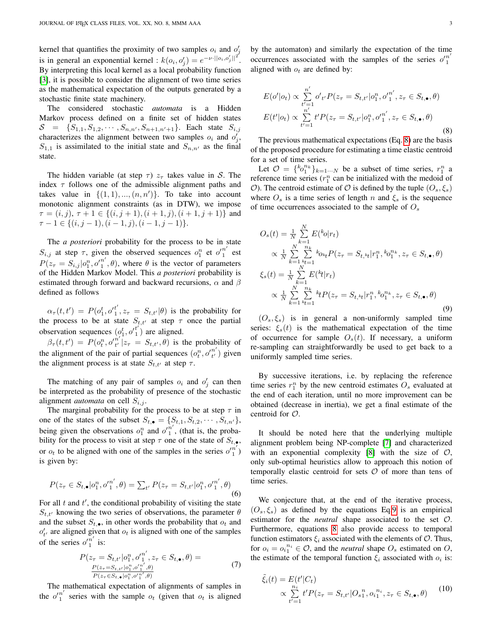kernel that quantifies the proximity of two samples  $o_i$  and  $o'_j$ is in general an exponential kernel :  $k(o_i, o'_j) = e^{-\nu \cdot ||o_i, o'_j||^2}$ . By interpreting this local kernel as a local probability function [\[3\]](#page-6-2), it is possible to consider the alignment of two time series as the mathematical expectation of the outputs generated by a stochastic finite state machinery.

The considered stochastic *automata* is a Hidden Markov process defined on a finite set of hidden states  $S = \{S_{1,1}, S_{1,2}, \cdots, S_{n,n'}, S_{n+1,n'+1}\}.$  Each state  $S_{i,j}$ characterizes the alignment between two samples  $o_i$  and  $o'_j$ ,  $S_{1,1}$  is assimilated to the initial state and  $S_{n,n'}$  as the final state.

The hidden variable (at step  $\tau$ )  $z_{\tau}$  takes value in S. The index  $\tau$  follows one of the admissible alignment paths and takes value in  $\{(1,1), ..., (n, n')\}$ . To take into account monotonic alignment constraints (as in DTW), we impose  $\tau = (i, j), \tau + 1 \in \{(i, j + 1), (i + 1, j), (i + 1, j + 1)\}\$ and  $\tau-1 \in \{(i, j-1), (i-1, j), (i-1, j-1)\}.$ 

The *a posteriori* probability for the process to be in state  $S_{i,j}$  at step  $\tau$ , given the observed sequences  $o_1^n$  et  $o_1'^{n'}$  $\frac{n}{1}$  est  $P(z_{\tau}=S_{i,j}|o_{1}^{n},o'_{1}^{n'})$  $\binom{n}{1}$ ,  $\theta$ ), where  $\theta$  is the vector of parameters of the Hidden Markov Model. This *a posteriori* probability is estimated through forward and backward recursions,  $\alpha$  and  $\beta$ defined as follows

 $\alpha_{\tau}(t, t') = P(o_1^t, o_1'^{t'})$  $I_1^t$ ,  $z_{\tau} = S_{t,t'}(\theta)$  is the probability for the process to be at state  $S_{t,t'}$  at step  $\tau$  once the partial observation sequences  $(o_1^t, o_1^{t})$  $i<sub>1</sub>$ ) are aligned.

 $\beta_{\tau}(t,t') = P(o_t^n, o'_{t'}^{\hat{n}'}$  $t^n_{t'} | z_{\tau} = S_{t,t'}, \theta)$  is the probability of the alignment of the pair of partial sequences  $(o_t^n, o_{t'}^{n'})$  $t'$ ) given the alignment process is at state  $S_{t,t'}$  at step  $\tau$ .

The matching of any pair of samples  $o_i$  and  $o'_j$  can then be interpreted as the probability of presence of the stochastic alignment *automata* on cell  $S_{i,j}$ .

The marginal probability for the process to be at step  $\tau$  in one of the states of the subset  $S_{t,\bullet} = \{S_{t,1}, S_{t,2}, \cdots, S_{t,n'}\},\$ being given the observations  $o_1^n$  and  $o'_1^{n'}$  $\binom{n}{1}$ , (that is, the probability for the process to visit at step  $\tau$  one of the state of  $S_{t,\bullet,\bullet}$ , or  $o_t$  to be aligned with one of the samples in the series  $o'_1^{n'}$ is given by:

$$
P(z_{\tau} \in S_{t,\bullet} | o_1^n, o_1'^{n'}, \theta) = \sum_{t'} P(z_{\tau} = S_{t,t'} | o_1^n, o_1'^{n'}, \theta)
$$
\n(6)

For all  $t$  and  $t'$ , the conditional probability of visiting the state  $S_{t,t'}$  knowing the two series of observations, the parameter  $\theta$ and the subset  $S_{t,\bullet}$ , in other words the probability that  $o_t$  and  $o'_{t'}$  are aligned given that  $o_t$  is aligned with one of the samples of the series  $o'^{n'}_1$  $\frac{n}{1}$  is:

$$
P(z_{\tau} = S_{t,t'} | o_1^n, o_1'^{n'}, z_{\tau} \in S_{t,\bullet}, \theta) =
$$
  
\n
$$
\frac{P(z_{\tau} = S_{t,t'} | o_1^n, o_1'^{n'}, \theta)}{P(z_{\tau} \in S_{t,\bullet} | o_1^n, o_1'^{n'}, \theta)}
$$
\n(7)

The mathematical expectation of alignments of samples in the  $o'_{1}^{n'}$  $\frac{n}{1}$  series with the sample  $o_t$  (given that  $o_t$  is aligned

by the automaton) and similarly the expectation of the time occurrences associated with the samples of the series  $o'_{1}^{n}$ aligned with  $o_t$  are defined by:

<span id="page-2-0"></span>
$$
E(o'|o_t) \propto \sum_{t'=1}^{n'} o'_{t'} P(z_{\tau} = S_{t,t'} | o_1^n, o_1'^{n'}, z_{\tau} \in S_{t,\bullet}, \theta)
$$
  

$$
E(t'|o_t) \propto \sum_{t'=1}^{n'} t' P(z_{\tau} = S_{t,t'} | o_1^n, o_1'^{n'}, z_{\tau} \in S_{t,\bullet}, \theta)
$$
(8)

The previous mathematical expectations (Eq. [8\)](#page-2-0) are the basis of the proposed procedure for estimating a time elastic centroid for a set of time series.

Let  $\mathcal{O} = \{ {}^{k}o_{1}^{n_{k}} \}_{k=1 \cdots N}$  be a subset of time series,  $r_{1}^{n}$  a reference time series  $(r_1^n$  can be initialized with the medoid of O). The centroid estimate of O is defined by the tuple  $(O_s, \xi_s)$ where  $O_s$  is a time series of length n and  $\xi_s$  is the sequence of time occurrences associated to the sample of  $O_s$ 

<span id="page-2-1"></span>
$$
O_s(t) = \frac{1}{N} \sum_{k=1}^{N} E(k_0 | r_t)
$$
  
\n
$$
\propto \frac{1}{N} \sum_{k=1}^{N} \sum_{k=1}^{n_k} k_{0k} P(z_\tau = S_{t,k} | r_1^{n}, {}^{k}o_1^{n_k}, z_\tau \in S_{t,\bullet}, \theta)
$$
  
\n
$$
\xi_s(t) = \frac{1}{N} \sum_{k=1}^{N} E({}^{k}t | r_t)
$$
  
\n
$$
\propto \frac{1}{N} \sum_{k=1}^{N} \sum_{k=1}^{n_k} {}^{k}t P(z_\tau = S_{t,k} | r_1^{n}, {}^{k}o_1^{n_k}, z_\tau \in S_{t,\bullet}, \theta)
$$
  
\n(9)

 $(O_s, \xi_s)$  is in general a non-uniformly sampled time series:  $\xi_s(t)$  is the mathematical expectation of the time of occurrence for sample  $O_s(t)$ . If necessary, a uniform re-sampling can straightforwardly be used to get back to a uniformly sampled time series.

By successive iterations, i.e. by replacing the reference time series  $r_1^n$  by the new centroid estimates  $O_s$  evaluated at the end of each iteration, until no more improvement can be obtained (decrease in inertia), we get a final estimate of the centroid for O.

It should be noted here that the underlying multiple alignment problem being NP-complete [\[7\]](#page-6-6) and characterized with an exponential complexity  $[8]$  with the size of  $\mathcal{O}$ , only sub-optimal heuristics allow to approach this notion of temporally elastic centroid for sets  $O$  of more than tens of time series.

We conjecture that, at the end of the iterative process,  $(O_s, \xi_s)$  as defined by the equations Eq[.9](#page-2-1) is an empirical estimator for the *neutral* shape associated to the set O. Furthermore, equations [8](#page-2-0) also provide access to temporal function estimators  $\xi_i$  associated with the elements of  $\mathcal{O}$ . Thus, for  $o_i = o_i^{n_i} \in \mathcal{O}$ , and the *neutral* shape  $O_s$  estimated on  $O$ , the estimate of the temporal function  $\xi_i$  associated with  $o_i$  is:

$$
\tilde{\xi}_i(t) = E(t'|C_t) \n\propto \sum_{t'=1}^{n_i} t' P(z_\tau = S_{t,t'}|O_{s_1}^n, o_{i_1}^{n_i}, z_\tau \in S_{t,\bullet}, \theta)
$$
\n(10)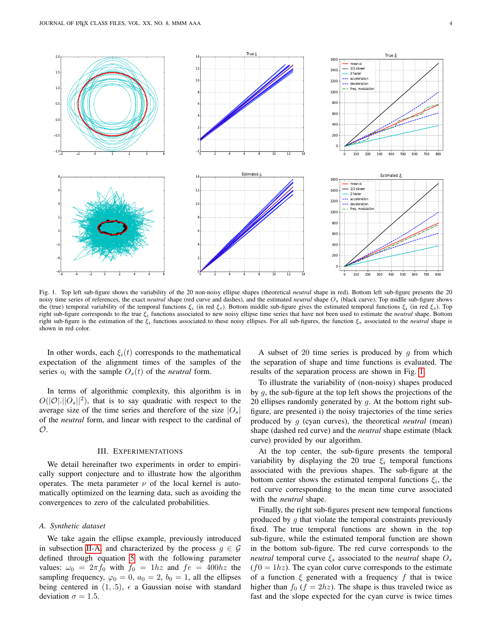

<span id="page-3-0"></span>Fig. 1. Top left sub-figure shows the variability of the 20 non-noisy ellipse shapes (theoretical *neutral* shape in red). Bottom left sub-figure presents the 20 noisy time series of references, the exact *neutral* shape (red curve and dashes), and the estimated *neutral* shape Os (black curve). Top midlle sub-figure shows the (true) temporal variability of the temporal functions  $\xi_i$  (in red  $\xi_s$ ). Bottom middle sub-figure gives the estimated temporal functions  $\xi_i$  (in red  $\xi_s$ ). Top right sub-figure corresponds to the true ξ<sup>i</sup> functions associated to new noisy ellipse time series that have not been used to estimate the *neutral* shape. Bottom right sub-figure is the estimation of the  $\xi_i$  functions associated to these noisy ellipses. For all sub-figures, the function  $\xi_s$  associated to the *neutral* shape is shown in red color.

In other words, each  $\xi_i(t)$  corresponds to the mathematical expectation of the alignment times of the samples of the series  $o_i$  with the sample  $O_s(t)$  of the *neutral* form.

In terms of algorithmic complexity, this algorithm is in  $O(|\mathcal{O}|,||O_s||^2)$ , that is to say quadratic with respect to the average size of the time series and therefore of the size  $|O_s|$ of the *neutral* form, and linear with respect to the cardinal of  $\mathcal{O}.$ 

### III. EXPERIMENTATIONS

We detail hereinafter two experiments in order to empirically support conjecture and to illustrate how the algorithm operates. The meta parameter  $\nu$  of the local kernel is automatically optimized on the learning data, such as avoiding the convergences to zero of the calculated probabilities.

## *A. Synthetic dataset*

We take again the ellipse example, previously introduced in subsection [II-A,](#page-1-2) and characterized by the process  $q \in \mathcal{G}$ defined through equation [5](#page-1-1) with the following parameter values:  $\omega_0 = 2\pi f_0$  with  $f_0 = 1hz$  and  $fe = 400hz$  the sampling frequency,  $\varphi_0 = 0$ ,  $a_0 = 2$ ,  $b_0 = 1$ , all the ellipses being centered in  $(1, .5)$ ,  $\epsilon$  a Gaussian noise with standard deviation  $\sigma = 1.5$ .

A subset of 20 time series is produced by  $g$  from which the separation of shape and time functions is evaluated. The results of the separation process are shown in Fig. [1.](#page-3-0)

To illustrate the variability of (non-noisy) shapes produced by g, the sub-figure at the top left shows the projections of the 20 ellipses randomly generated by  $g$ . At the bottom right subfigure, are presented i) the noisy trajectories of the time series produced by g (cyan curves), the theoretical *neutral* (mean) shape (dashed red curve) and the *neutral* shape estimate (black curve) provided by our algorithm.

At the top center, the sub-figure presents the temporal variability by displaying the 20 true  $\xi_i$  temporal functions associated with the previous shapes. The sub-figure at the bottom center shows the estimated temporal functions  $\xi_i$ , the red curve corresponding to the mean time curve associated with the *neutral* shape.

Finally, the right sub-figures present new temporal functions produced by  $g$  that violate the temporal constraints previously fixed. The true temporal functions are shown in the top sub-figure, while the estimated temporal function are shown in the bottom sub-figure. The red curve corresponds to the *neutral* temporal curve  $\xi_s$  associated to the *neutral* shape  $O_s$  $(f0 = 1hz)$ . The cyan color curve corresponds to the estimate of a function  $\xi$  generated with a frequency f that is twice higher than  $f_0$  ( $f = 2hz$ ). The shape is thus traveled twice as fast and the slope expected for the cyan curve is twice times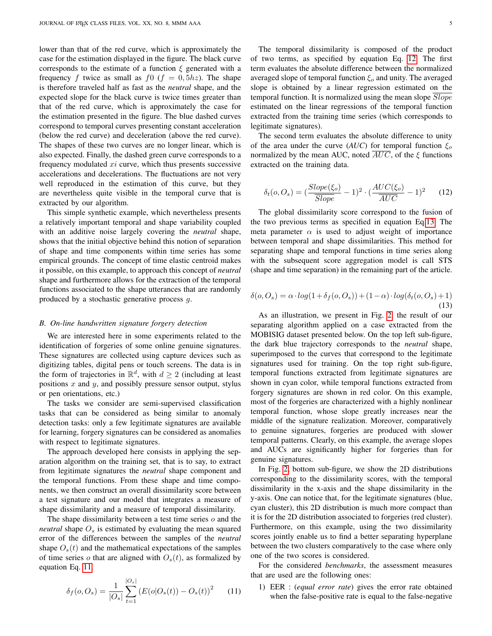lower than that of the red curve, which is approximately the case for the estimation displayed in the figure. The black curve corresponds to the estimate of a function  $\xi$  generated with a frequency f twice as small as  $f(x) = f(x) - f(x)$ . The shape is therefore traveled half as fast as the *neutral* shape, and the expected slope for the black curve is twice times greater than that of the red curve, which is approximately the case for the estimation presented in the figure. The blue dashed curves correspond to temporal curves presenting constant acceleration (below the red curve) and deceleration (above the red curve). The shapes of these two curves are no longer linear, which is also expected. Finally, the dashed green curve corresponds to a frequency modulated  $xi$  curve, which thus presents successive accelerations and decelerations. The fluctuations are not very well reproduced in the estimation of this curve, but they are nevertheless quite visible in the temporal curve that is extracted by our algorithm.

This simple synthetic example, which nevertheless presents a relatively important temporal and shape variability coupled with an additive noise largely covering the *neutral* shape, shows that the initial objective behind this notion of separation of shape and time components within time series has some empirical grounds. The concept of time elastic centroid makes it possible, on this example, to approach this concept of *neutral* shape and furthermore allows for the extraction of the temporal functions associated to the shape utterances that are randomly produced by a stochastic generative process g.

#### *B. On-line handwritten signature forgery detection*

We are interested here in some experiments related to the identification of forgeries of some online genuine signatures. These signatures are collected using capture devices such as digitizing tables, digital pens or touch screens. The data is in the form of trajectories in  $\mathbb{R}^d$ , with  $d \geq 2$  (including at least positions  $x$  and  $y$ , and possibly pressure sensor output, stylus or pen orientations, etc.)

The tasks we consider are semi-supervised classification tasks that can be considered as being similar to anomaly detection tasks: only a few legitimate signatures are available for learning, forgery signatures can be considered as anomalies with respect to legitimate signatures.

The approach developed here consists in applying the separation algorithm on the training set, that is to say, to extract from legitimate signatures the *neutral* shape component and the temporal functions. From these shape and time components, we then construct an overall dissimilarity score between a test signature and our model that integrates a measure of shape dissimilarity and a measure of temporal dissimilarity.

The shape dissimilarity between a test time series  $\sigma$  and the *neutral* shape  $O_s$  is estimated by evaluating the mean squared error of the differences between the samples of the *neutral* shape  $O<sub>s</sub>(t)$  and the mathematical expectations of the samples of time series o that are aligned with  $O_s(t)$ , as formalized by equation Eq. [11.](#page-4-0)

<span id="page-4-0"></span>
$$
\delta_f(o, O_s) = \frac{1}{|O_s|} \sum_{t=1}^{|O_s|} \left( E(o|O_s(t)) - O_s(t) \right)^2 \tag{11}
$$

legitimate signatures). The second term evaluates the absolute difference to unity of the area under the curve (*AUC*) for temporal function  $\xi_o$ normalized by the mean AUC, noted  $\overline{AUC}$ , of the  $\xi$  functions extracted on the training data.

extracted from the training time series (which corresponds to

<span id="page-4-1"></span>
$$
\delta_t(o, O_s) = \left(\frac{Slope(\xi_o)}{Slope} - 1\right)^2 \cdot \left(\frac{AUC(\xi_o)}{\overline{AUC}} - 1\right)^2 \tag{12}
$$

The global dissimilarity score correspond to the fusion of the two previous terms as specified in equation Eq[.13.](#page-4-2) The meta parameter  $\alpha$  is used to adjust weight of importance between temporal and shape dissimilarities. This method for separating shape and temporal functions in time series along with the subsequent score aggregation model is call STS (shape and time separation) in the remaining part of the article.

<span id="page-4-2"></span>
$$
\delta(o, O_s) = \alpha \cdot log(1 + \delta_f(o, O_s)) + (1 - \alpha) \cdot log(\delta_t(o, O_s) + 1)
$$
\n(13)

As an illustration, we present in Fig. [2,](#page-5-0) the result of our separating algorithm applied on a case extracted from the MOBISIG dataset presented below. On the top left sub-figure, the dark blue trajectory corresponds to the *neutral* shape, superimposed to the curves that correspond to the legitimate signatures used for training. On the top right sub-figure, temporal functions extracted from legitimate signatures are shown in cyan color, while temporal functions extracted from forgery signatures are shown in red color. On this example, most of the forgeries are characterized with a highly nonlinear temporal function, whose slope greatly increases near the middle of the signature realization. Moreover, comparatively to genuine signatures, forgeries are produced with slower temporal patterns. Clearly, on this example, the average slopes and AUCs are significantly higher for forgeries than for genuine signatures.

In Fig. [2,](#page-5-0) bottom sub-figure, we show the 2D distributions corresponding to the dissimilarity scores, with the temporal dissimilarity in the x-axis and the shape dissimilarity in the y-axis. One can notice that, for the legitimate signatures (blue, cyan cluster), this 2D distribution is much more compact than it is for the 2D distribution associated to forgeries (red cluster). Furthermore, on this example, using the two dissimilarity scores jointly enable us to find a better separating hyperplane between the two clusters comparatively to the case where only one of the two scores is considered.

For the considered *benchmarks*, the assessment measures that are used are the following ones:

1) EER : (*equal error rate*) gives the error rate obtained when the false-positive rate is equal to the false-negative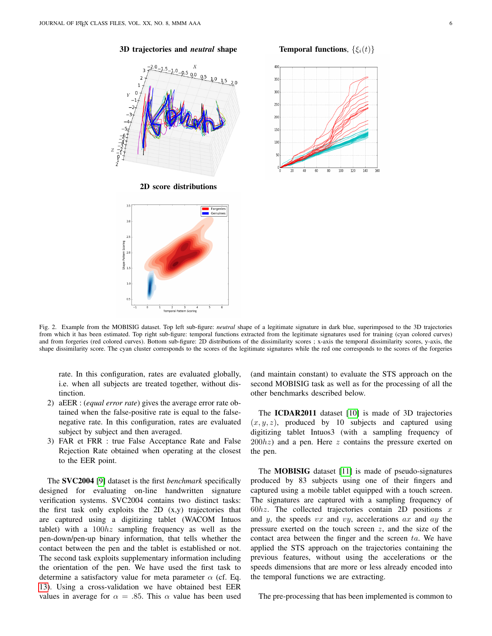



#### 3D trajectories and *neutral* shape Temporal functions,  $\{\xi_i(t)\}$



<span id="page-5-0"></span>Fig. 2. Example from the MOBISIG dataset. Top left sub-figure: *neutral* shape of a legitimate signature in dark blue, superimposed to the 3D trajectories from which it has been estimated. Top right sub-figure: temporal functions extracted from the legitimate signatures used for training (cyan colored curves) and from forgeries (red colored curves). Bottom sub-figure: 2D distributions of the dissimilarity scores ; x-axis the temporal dissimilarity scores, y-axis, the shape dissimilarity score. The cyan cluster corresponds to the scores of the legitimate signatures while the red one corresponds to the scores of the forgeries

rate. In this configuration, rates are evaluated globally, i.e. when all subjects are treated together, without distinction.

- 2) aEER : (*equal error rate*) gives the average error rate obtained when the false-positive rate is equal to the falsenegative rate. In this configuration, rates are evaluated subject by subject and then averaged.
- 3) FAR et FRR : true False Acceptance Rate and False Rejection Rate obtained when operating at the closest to the EER point.

The SVC2004 [\[9\]](#page-6-8) dataset is the first *benchmark* specifically designed for evaluating on-line handwritten signature verification systems. SVC2004 contains two distinct tasks: the first task only exploits the  $2D(x,y)$  trajectories that are captured using a digitizing tablet (WACOM Intuos tablet) with a  $100hz$  sampling frequency as well as the pen-down/pen-up binary information, that tells whether the contact between the pen and the tablet is established or not. The second task exploits supplementary information including the orientation of the pen. We have used the first task to determine a satisfactory value for meta parameter  $\alpha$  (cf. Eq. [13\)](#page-4-2). Using a cross-validation we have obtained best EER values in average for  $\alpha = .85$ . This  $\alpha$  value has been used (and maintain constant) to evaluate the STS approach on the second MOBISIG task as well as for the processing of all the other benchmarks described below.

The ICDAR2011 dataset [\[10\]](#page-6-9) is made of 3D trajectories  $(x, y, z)$ , produced by 10 subjects and captured using digitizing tablet Intuos3 (with a sampling frequency of  $200hz$ ) and a pen. Here z contains the pressure exerted on the pen.

The MOBISIG dataset [\[11\]](#page-7-0) is made of pseudo-signatures produced by 83 subjects using one of their fingers and captured using a mobile tablet equipped with a touch screen. The signatures are captured with a sampling frequency of  $60hz$ . The collected trajectories contain 2D positions x and y, the speeds  $vx$  and  $vy$ , accelerations  $ax$  and  $ay$  the pressure exerted on the touch screen  $z$ , and the size of the contact area between the finger and the screen  $ta$ . We have applied the STS approach on the trajectories containing the previous features, without using the accelerations or the speeds dimensions that are more or less already encoded into the temporal functions we are extracting.

The pre-processing that has been implemented is common to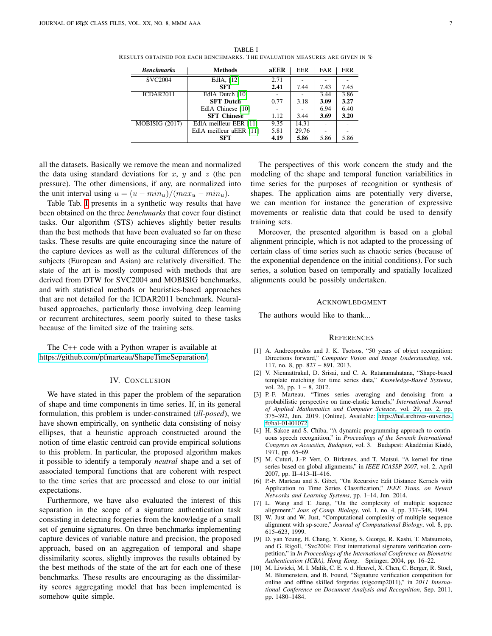| <b>Benchmarks</b>     | <b>Methods</b>          | aEER | EER   | <b>FAR</b> | <b>FRR</b> |
|-----------------------|-------------------------|------|-------|------------|------------|
| <b>SVC2004</b>        | EdlA, [12]              | 2.71 |       |            |            |
|                       | <b>SFT</b>              | 2.41 | 7.44  | 7.43       | 7.45       |
| ICDAR <sub>2011</sub> | EdlA Dutch [10]         |      |       | 3.44       | 3.86       |
|                       | <b>SFT Dutch</b>        | 0.77 | 3.18  | 3.09       | 3.27       |
|                       | EdlA Chinese [10]       |      |       | 6.94       | 6.40       |
|                       | <b>SFT Chinese</b>      | 1.12 | 3.44  | 3.69       | 3.20       |
| MOBISIG (2017)        | EdlA meilleur EER [11]  | 9.35 | 14.31 |            |            |
|                       | EdlA meilleur aEER [11] | 5.81 | 29.76 |            |            |
|                       | <b>SFT</b>              | 4.19 | 5.86  | 5.86       | 5.86       |

<span id="page-6-10"></span>TABLE I RESULTS OBTAINED FOR EACH BENCHMARKS. THE EVALUATION MEASURES ARE GIVEN IN  $\%$ 

all the datasets. Basically we remove the mean and normalized the data using standard deviations for x, y and z (the pen pressure). The other dimensions, if any, are normalized into the unit interval using  $u = (u - min_u)/(max_u - min_u)$ .

Table Tab. [I](#page-6-10) presents in a synthetic way results that have been obtained on the three *benchmarks* that cover four distinct tasks. Our algorithm (STS) achieves slightly better results than the best methods that have been evaluated so far on these tasks. These results are quite encouraging since the nature of the capture devices as well as the cultural differences of the subjects (European and Asian) are relatively diversified. The state of the art is mostly composed with methods that are derived from DTW for SVC2004 and MOBISIG benchmarks, and with statistical methods or heuristics-based approaches that are not detailed for the ICDAR2011 benchmark. Neuralbased approaches, particularly those involving deep learning or recurrent architectures, seem poorly suited to these tasks because of the limited size of the training sets.

The C++ code with a Python wraper is available at [https://github.com/pfmarteau/ShapeTimeSeparation/.](https://github.com/pfmarteau/ShapeTimeSeparation/)

#### IV. CONCLUSION

We have stated in this paper the problem of the separation of shape and time components in time series. If, in its general formulation, this problem is under-constrained (*ill-posed*), we have shown empirically, on synthetic data consisting of noisy ellipses, that a heuristic approach constructed around the notion of time elastic centroid can provide empirical solutions to this problem. In particular, the proposed algorithm makes it possible to identify a temporaly *neutral* shape and a set of associated temporal functions that are coherent with respect to the time series that are processed and close to our initial expectations.

Furthermore, we have also evaluated the interest of this separation in the scope of a signature authentication task consisting in detecting forgeries from the knowledge of a small set of genuine signatures. On three benchmarks implementing capture devices of variable nature and precision, the proposed approach, based on an aggregation of temporal and shape dissimilarity scores, slightly improves the results obtained by the best methods of the state of the art for each one of these benchmarks. These results are encouraging as the dissimilarity scores aggregating model that has been implemented is somehow quite simple.

The perspectives of this work concern the study and the modeling of the shape and temporal function variabilities in time series for the purposes of recognition or synthesis of shapes. The application aims are potentially very diverse, we can mention for instance the generation of expressive movements or realistic data that could be used to densify training sets.

Moreover, the presented algorithm is based on a global alignment principle, which is not adapted to the processing of certain class of time series such as chaotic series (because of the exponential dependence on the initial conditions). For such series, a solution based on temporally and spatially localized alignments could be possibly undertaken.

#### ACKNOWLEDGMENT

The authors would like to thank...

#### **REFERENCES**

- <span id="page-6-0"></span>[1] A. Andreopoulos and J. K. Tsotsos, "50 years of object recognition: Directions forward," *Computer Vision and Image Understanding*, vol. 117, no. 8, pp. 827 – 891, 2013.
- <span id="page-6-1"></span>[2] V. Niennattrakul, D. Srisai, and C. A. Ratanamahatana, "Shape-based template matching for time series data," *Knowledge-Based Systems*, vol. 26, pp. 1 – 8, 2012.
- <span id="page-6-2"></span>[3] P.-F. Marteau, "Times series averaging and denoising from a probabilistic perspective on time-elastic kernels," *International Journal of Applied Mathematics and Computer Science*, vol. 29, no. 2, pp. 375–392, Jun. 2019. [Online]. Available: [https://hal.archives-ouvertes.](https://hal.archives-ouvertes.fr/hal-01401072) [fr/hal-01401072](https://hal.archives-ouvertes.fr/hal-01401072)
- <span id="page-6-3"></span>[4] H. Sakoe and S. Chiba, "A dynamic programming approach to continuous speech recognition," in *Proceedings of the Seventh International Congress on Acoustics, Budapest*, vol. 3. Budapest: Akadémiai Kiadó, 1971, pp. 65–69.
- <span id="page-6-4"></span>[5] M. Cuturi, J.-P. Vert, O. Birkenes, and T. Matsui, "A kernel for time series based on global alignments," in *IEEE ICASSP 2007*, vol. 2, April 2007, pp. II–413–II–416.
- <span id="page-6-5"></span>[6] P.-F. Marteau and S. Gibet, "On Recursive Edit Distance Kernels with Application to Time Series Classification," *IEEE Trans. on Neural Networks and Learning Systems*, pp. 1–14, Jun. 2014.
- <span id="page-6-6"></span>[7] L. Wang and T. Jiang, "On the complexity of multiple sequence alignment." *Jour. of Comp. Biology*, vol. 1, no. 4, pp. 337–348, 1994.
- <span id="page-6-7"></span>[8] W. Just and W. Just, "Computational complexity of multiple sequence alignment with sp-score," *Journal of Computational Biology*, vol. 8, pp. 615–623, 1999.
- <span id="page-6-8"></span>[9] D. yan Yeung, H. Chang, Y. Xiong, S. George, R. Kashi, T. Matsumoto, and G. Rigoll, "Svc2004: First international signature verification competition," in *In Proceedings of the International Conference on Biometric Authentication (ICBA), Hong Kong*. Springer, 2004, pp. 16–22.
- <span id="page-6-9"></span>[10] M. Liwicki, M. I. Malik, C. E. v. d. Heuvel, X. Chen, C. Berger, R. Stoel, M. Blumenstein, and B. Found, "Signature verification competition for online and offline skilled forgeries (sigcomp2011)," in *2011 International Conference on Document Analysis and Recognition*, Sep. 2011, pp. 1480–1484.